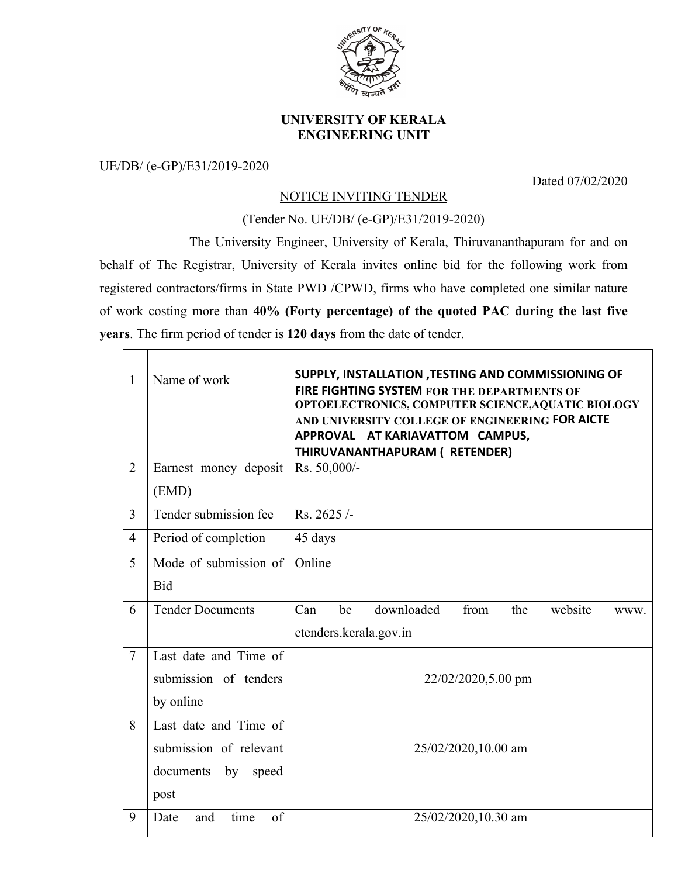

## **UNIVERSITY OF KERALA ENGINEERING UNIT**

## UE/DB/ (e-GP)/E31/2019-2020

Dated 07/02/2020

## NOTICE INVITING TENDER

(Tender No. UE/DB/ (e-GP)/E31/2019-2020)

The University Engineer, University of Kerala, Thiruvananthapuram for and on behalf of The Registrar, University of Kerala invites online bid for the following work from registered contractors/firms in State PWD /CPWD, firms who have completed one similar nature of work costing more than **40% (Forty percentage) of the quoted PAC during the last five years**. The firm period of tender is **120 days** from the date of tender.

| 1              | Name of work              | SUPPLY, INSTALLATION, TESTING AND COMMISSIONING OF<br>FIRE FIGHTING SYSTEM FOR THE DEPARTMENTS OF<br>OPTOELECTRONICS, COMPUTER SCIENCE, AQUATIC BIOLOGY<br>AND UNIVERSITY COLLEGE OF ENGINEERING FOR AICTE<br>APPROVAL AT KARIAVATTOM CAMPUS,<br>THIRUVANANTHAPURAM ( RETENDER) |
|----------------|---------------------------|---------------------------------------------------------------------------------------------------------------------------------------------------------------------------------------------------------------------------------------------------------------------------------|
| $\overline{2}$ | Earnest money deposit     | Rs. 50,000/-                                                                                                                                                                                                                                                                    |
|                | (EMD)                     |                                                                                                                                                                                                                                                                                 |
| 3              | Tender submission fee     | Rs. 2625/-                                                                                                                                                                                                                                                                      |
| $\overline{4}$ | Period of completion      | 45 days                                                                                                                                                                                                                                                                         |
| 5              | Mode of submission of     | Online                                                                                                                                                                                                                                                                          |
|                | <b>Bid</b>                |                                                                                                                                                                                                                                                                                 |
| 6              | <b>Tender Documents</b>   | Can<br>be<br>downloaded<br>from<br>the<br>website<br>WWW.                                                                                                                                                                                                                       |
|                |                           | etenders.kerala.gov.in                                                                                                                                                                                                                                                          |
| $\tau$         | Last date and Time of     |                                                                                                                                                                                                                                                                                 |
|                | submission of tenders     | 22/02/2020,5.00 pm                                                                                                                                                                                                                                                              |
|                | by online                 |                                                                                                                                                                                                                                                                                 |
| 8              | Last date and Time of     |                                                                                                                                                                                                                                                                                 |
|                | submission of relevant    | 25/02/2020,10.00 am                                                                                                                                                                                                                                                             |
|                | by<br>documents<br>speed  |                                                                                                                                                                                                                                                                                 |
|                | post                      |                                                                                                                                                                                                                                                                                 |
| 9              | of<br>time<br>Date<br>and | 25/02/2020,10.30 am                                                                                                                                                                                                                                                             |
|                |                           |                                                                                                                                                                                                                                                                                 |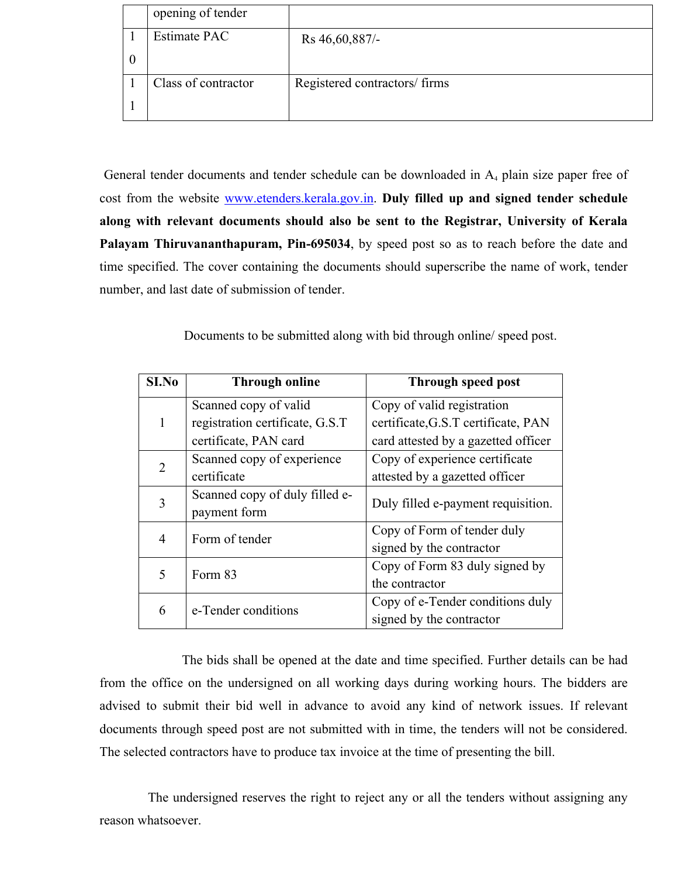| opening of tender   |                               |
|---------------------|-------------------------------|
| Estimate PAC        | Rs 46,60,887/-                |
|                     |                               |
| Class of contractor | Registered contractors/ firms |
|                     |                               |

General tender documents and tender schedule can be downloaded in  $A_4$  plain size paper free of cost from the website www.etenders.kerala.gov.in. **Duly filled up and signed tender schedule along with relevant documents should also be sent to the Registrar, University of Kerala Palayam Thiruvananthapuram, Pin-695034**, by speed post so as to reach before the date and time specified. The cover containing the documents should superscribe the name of work, tender number, and last date of submission of tender.

Documents to be submitted along with bid through online/ speed post.

| S <sub>I.No</sub> | <b>Through online</b>            | Through speed post                  |
|-------------------|----------------------------------|-------------------------------------|
|                   | Scanned copy of valid            | Copy of valid registration          |
| 1                 | registration certificate, G.S.T. | certificate, G.S.T certificate, PAN |
|                   | certificate, PAN card            | card attested by a gazetted officer |
| 2                 | Scanned copy of experience       | Copy of experience certificate      |
|                   | certificate                      | attested by a gazetted officer      |
| 3                 | Scanned copy of duly filled e-   | Duly filled e-payment requisition.  |
|                   | payment form                     |                                     |
| 4                 | Form of tender                   | Copy of Form of tender duly         |
|                   |                                  | signed by the contractor            |
| 5                 | Form 83                          | Copy of Form 83 duly signed by      |
|                   |                                  | the contractor                      |
| 6                 | e-Tender conditions              | Copy of e-Tender conditions duly    |
|                   |                                  | signed by the contractor            |

The bids shall be opened at the date and time specified. Further details can be had from the office on the undersigned on all working days during working hours. The bidders are advised to submit their bid well in advance to avoid any kind of network issues. If relevant documents through speed post are not submitted with in time, the tenders will not be considered. The selected contractors have to produce tax invoice at the time of presenting the bill.

The undersigned reserves the right to reject any or all the tenders without assigning any reason whatsoever.